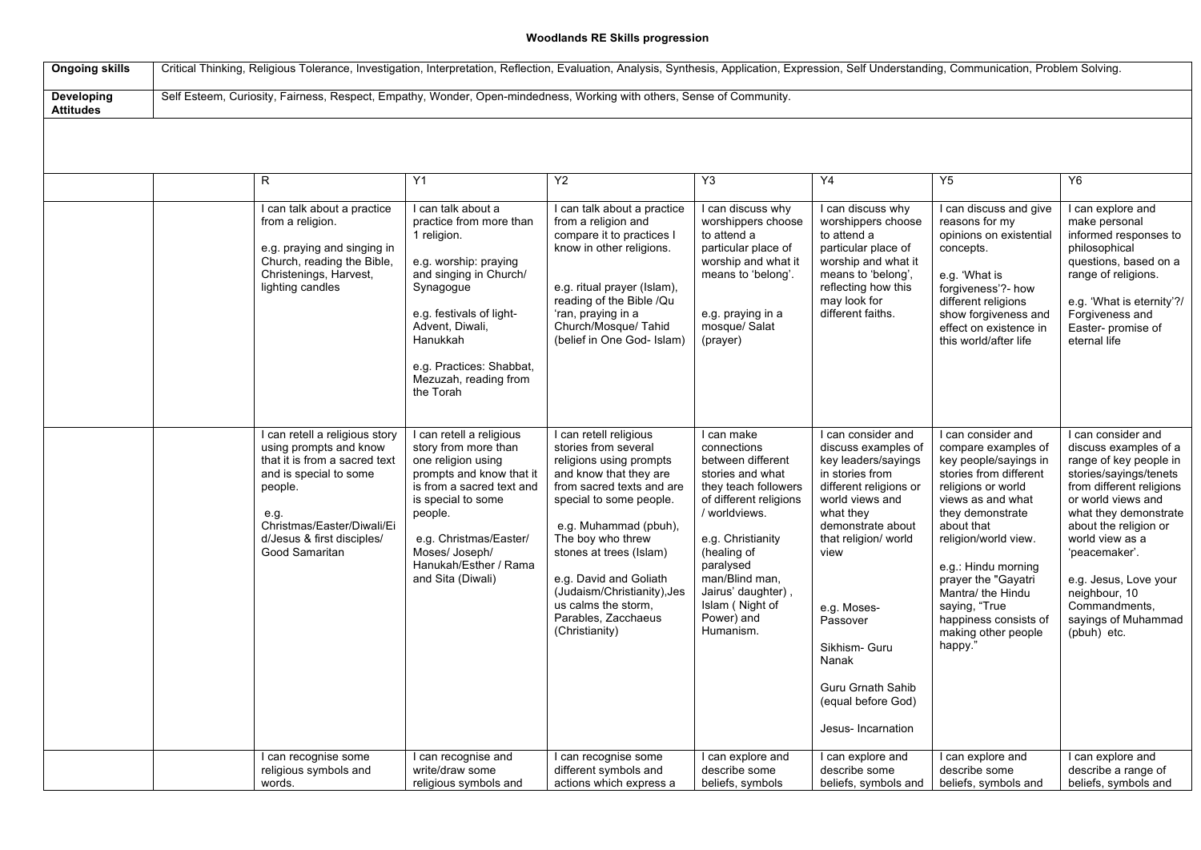## **Woodlands RE Skills progression**

| <b>Ongoing skills</b>          | Critical Thinking, Religious Tolerance, Investigation, Interpretation, Reflection, Evaluation, Analysis, Synthesis, Application, Expression, Self Understanding, Communication, Problem Solving. |                                                                                                                                                                                                                      |                                                                                                                                                                                                                                                            |                                                                                                                                                                                                                                                                                                                                                               |                                                                                                                                                                                                                                                                              |                                                                                                                                                                                                                                                                                                                          |                                                                                                                                                                                                                                                                                                                                                  |                                                                                                                                                                                                                                                                                                                                          |  |  |
|--------------------------------|--------------------------------------------------------------------------------------------------------------------------------------------------------------------------------------------------|----------------------------------------------------------------------------------------------------------------------------------------------------------------------------------------------------------------------|------------------------------------------------------------------------------------------------------------------------------------------------------------------------------------------------------------------------------------------------------------|---------------------------------------------------------------------------------------------------------------------------------------------------------------------------------------------------------------------------------------------------------------------------------------------------------------------------------------------------------------|------------------------------------------------------------------------------------------------------------------------------------------------------------------------------------------------------------------------------------------------------------------------------|--------------------------------------------------------------------------------------------------------------------------------------------------------------------------------------------------------------------------------------------------------------------------------------------------------------------------|--------------------------------------------------------------------------------------------------------------------------------------------------------------------------------------------------------------------------------------------------------------------------------------------------------------------------------------------------|------------------------------------------------------------------------------------------------------------------------------------------------------------------------------------------------------------------------------------------------------------------------------------------------------------------------------------------|--|--|
| Developing<br><b>Attitudes</b> | Self Esteem, Curiosity, Fairness, Respect, Empathy, Wonder, Open-mindedness, Working with others, Sense of Community.                                                                            |                                                                                                                                                                                                                      |                                                                                                                                                                                                                                                            |                                                                                                                                                                                                                                                                                                                                                               |                                                                                                                                                                                                                                                                              |                                                                                                                                                                                                                                                                                                                          |                                                                                                                                                                                                                                                                                                                                                  |                                                                                                                                                                                                                                                                                                                                          |  |  |
|                                |                                                                                                                                                                                                  |                                                                                                                                                                                                                      |                                                                                                                                                                                                                                                            |                                                                                                                                                                                                                                                                                                                                                               |                                                                                                                                                                                                                                                                              |                                                                                                                                                                                                                                                                                                                          |                                                                                                                                                                                                                                                                                                                                                  |                                                                                                                                                                                                                                                                                                                                          |  |  |
|                                |                                                                                                                                                                                                  | R.                                                                                                                                                                                                                   | Y1                                                                                                                                                                                                                                                         | Y2                                                                                                                                                                                                                                                                                                                                                            | Y3                                                                                                                                                                                                                                                                           | Y4                                                                                                                                                                                                                                                                                                                       | Y5                                                                                                                                                                                                                                                                                                                                               | Y <sub>6</sub>                                                                                                                                                                                                                                                                                                                           |  |  |
|                                |                                                                                                                                                                                                  | I can talk about a practice<br>from a religion.<br>e.g. praying and singing in<br>Church, reading the Bible,<br>Christenings, Harvest,<br>lighting candles                                                           | I can talk about a<br>practice from more than<br>1 religion.<br>e.g. worship: praying<br>and singing in Church/<br>Synagogue<br>e.g. festivals of light-<br>Advent, Diwali,<br>Hanukkah<br>e.g. Practices: Shabbat,<br>Mezuzah, reading from<br>the Torah  | I can talk about a practice<br>from a religion and<br>compare it to practices I<br>know in other religions.<br>e.g. ritual prayer (Islam),<br>reading of the Bible /Qu<br>'ran, praying in a<br>Church/Mosque/ Tahid<br>(belief in One God- Islam)                                                                                                            | I can discuss why<br>worshippers choose<br>to attend a<br>particular place of<br>worship and what it<br>means to 'belong'.<br>e.g. praying in a<br>mosque/ Salat<br>(prayer)                                                                                                 | I can discuss why<br>worshippers choose<br>to attend a<br>particular place of<br>worship and what it<br>means to 'belong',<br>reflecting how this<br>may look for<br>different faiths.                                                                                                                                   | I can discuss and give<br>reasons for my<br>opinions on existential<br>concepts.<br>e.g. 'What is<br>forgiveness'?- how<br>different religions<br>show forgiveness and<br>effect on existence in<br>this world/after life                                                                                                                        | I can explore and<br>make personal<br>informed responses to<br>philosophical<br>questions, based on a<br>range of religions.<br>e.g. 'What is eternity'?/<br>Forgiveness and<br>Easter- promise of<br>eternal life                                                                                                                       |  |  |
|                                |                                                                                                                                                                                                  | I can retell a religious story<br>using prompts and know<br>that it is from a sacred text<br>and is special to some<br>people.<br>e.g.<br>Christmas/Easter/Diwali/Ei<br>d/Jesus & first disciples/<br>Good Samaritan | I can retell a religious<br>story from more than<br>one religion using<br>prompts and know that it<br>is from a sacred text and<br>is special to some<br>people.<br>e.g. Christmas/Easter/<br>Moses/ Joseph/<br>Hanukah/Esther / Rama<br>and Sita (Diwali) | I can retell religious<br>stories from several<br>religions using prompts<br>and know that they are<br>from sacred texts and are<br>special to some people.<br>e.g. Muhammad (pbuh),<br>The boy who threw<br>stones at trees (Islam)<br>e.g. David and Goliath<br>(Judaism/Christianity), Jes<br>us calms the storm,<br>Parables, Zacchaeus<br>(Christianity) | I can make<br>connections<br>between different<br>stories and what<br>they teach followers<br>of different religions<br>/ worldviews.<br>e.g. Christianity<br>(healing of<br>paralysed<br>man/Blind man,<br>Jairus' daughter),<br>Islam (Night of<br>Power) and<br>Humanism. | I can consider and<br>discuss examples of<br>key leaders/sayings<br>in stories from<br>different religions or<br>world views and<br>what they<br>demonstrate about<br>that religion/ world<br>view<br>e.g. Moses-<br>Passover<br>Sikhism- Guru<br>Nanak<br>Guru Grnath Sahib<br>(equal before God)<br>Jesus- Incarnation | I can consider and<br>compare examples of<br>key people/sayings in<br>stories from different<br>religions or world<br>views as and what<br>they demonstrate<br>about that<br>religion/world view.<br>e.g.: Hindu morning<br>prayer the "Gayatri<br>Mantra/ the Hindu<br>saying, "True<br>happiness consists of<br>making other people<br>happy." | I can consider and<br>discuss examples of a<br>range of key people in<br>stories/sayings/tenets<br>from different religions<br>or world views and<br>what they demonstrate<br>about the religion or<br>world view as a<br>'peacemaker'.<br>e.g. Jesus, Love your<br>neighbour, 10<br>Commandments,<br>sayings of Muhammad<br>(pbuh) etc. |  |  |
|                                |                                                                                                                                                                                                  | I can recognise some<br>religious symbols and<br>words.                                                                                                                                                              | I can recognise and<br>write/draw some<br>religious symbols and                                                                                                                                                                                            | I can recognise some<br>different symbols and<br>actions which express a                                                                                                                                                                                                                                                                                      | I can explore and<br>describe some<br>beliefs, symbols                                                                                                                                                                                                                       | I can explore and<br>describe some<br>beliefs, symbols and                                                                                                                                                                                                                                                               | I can explore and<br>describe some<br>beliefs, symbols and                                                                                                                                                                                                                                                                                       | I can explore and<br>describe a range of<br>beliefs, symbols and                                                                                                                                                                                                                                                                         |  |  |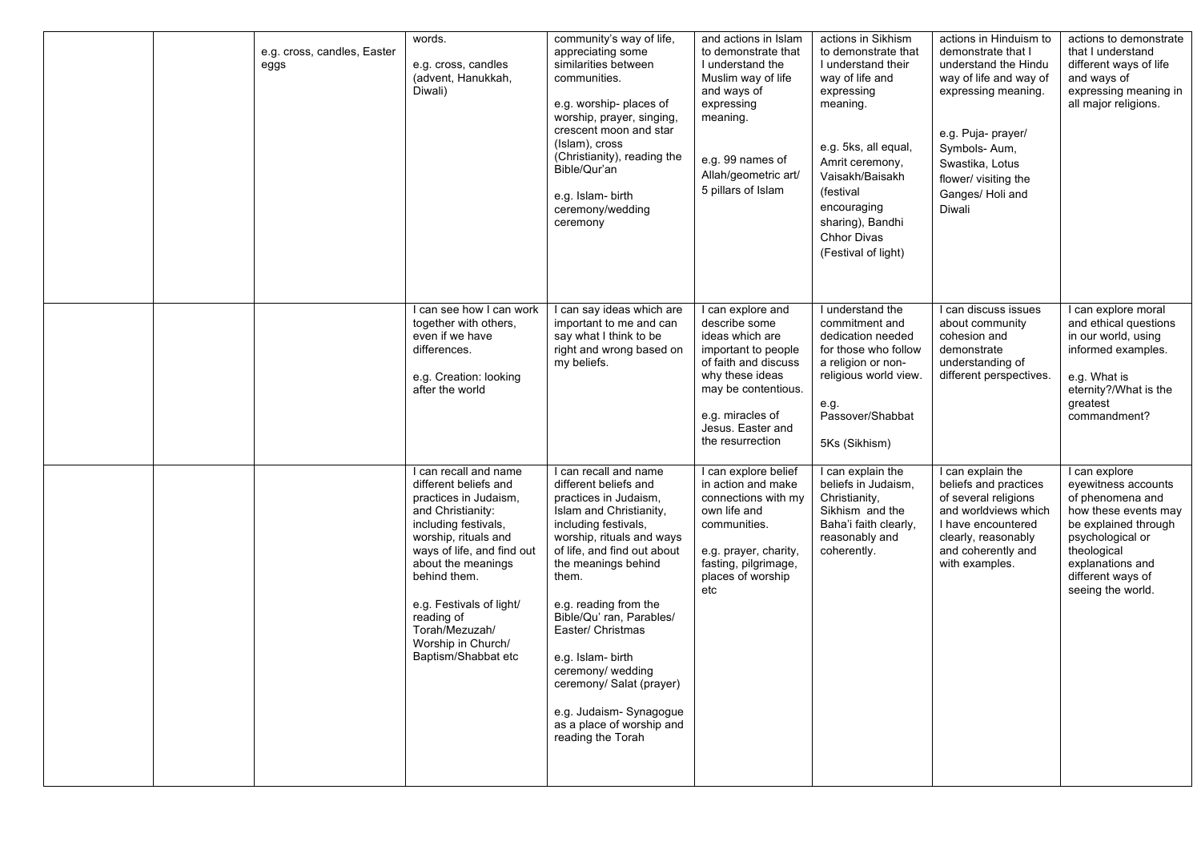| e.g. cross, candles, Easter<br>eggs | words.<br>e.g. cross, candles<br>(advent, Hanukkah,<br>Diwali)                                                                                                                                                                                                                                                            | community's way of life,<br>appreciating some<br>similarities between<br>communities.<br>e.g. worship-places of<br>worship, prayer, singing,<br>crescent moon and star<br>(Islam), cross<br>(Christianity), reading the<br>Bible/Qur'an<br>e.g. Islam-birth<br>ceremony/wedding<br>ceremony                                                                                                                                                        | and actions in Islam<br>to demonstrate that<br>I understand the<br>Muslim way of life<br>and ways of<br>expressing<br>meaning.<br>e.g. 99 names of<br>Allah/geometric art/<br>5 pillars of Islam            | actions in Sikhism<br>to demonstrate that<br>I understand their<br>way of life and<br>expressing<br>meaning.<br>e.g. 5ks, all equal,<br>Amrit ceremony,<br>Vaisakh/Baisakh<br>(festival<br>encouraging<br>sharing), Bandhi<br><b>Chhor Divas</b><br>(Festival of light) | actions in Hinduism to<br>demonstrate that I<br>understand the Hindu<br>way of life and way of<br>expressing meaning.<br>e.g. Puja- prayer/<br>Symbols-Aum,<br>Swastika, Lotus<br>flower/ visiting the<br>Ganges/ Holi and<br>Diwali | actions to demonstrate<br>that I understand<br>different ways of life<br>and ways of<br>expressing meaning in<br>all major religions.                                                                     |
|-------------------------------------|---------------------------------------------------------------------------------------------------------------------------------------------------------------------------------------------------------------------------------------------------------------------------------------------------------------------------|----------------------------------------------------------------------------------------------------------------------------------------------------------------------------------------------------------------------------------------------------------------------------------------------------------------------------------------------------------------------------------------------------------------------------------------------------|-------------------------------------------------------------------------------------------------------------------------------------------------------------------------------------------------------------|-------------------------------------------------------------------------------------------------------------------------------------------------------------------------------------------------------------------------------------------------------------------------|--------------------------------------------------------------------------------------------------------------------------------------------------------------------------------------------------------------------------------------|-----------------------------------------------------------------------------------------------------------------------------------------------------------------------------------------------------------|
|                                     | I can see how I can work<br>together with others,<br>even if we have<br>differences.<br>e.g. Creation: looking<br>after the world                                                                                                                                                                                         | I can say ideas which are<br>important to me and can<br>say what I think to be<br>right and wrong based on<br>my beliefs.                                                                                                                                                                                                                                                                                                                          | I can explore and<br>describe some<br>ideas which are<br>important to people<br>of faith and discuss<br>why these ideas<br>may be contentious.<br>e.g. miracles of<br>Jesus. Easter and<br>the resurrection | I understand the<br>commitment and<br>dedication needed<br>for those who follow<br>a religion or non-<br>religious world view.<br>e.g.<br>Passover/Shabbat<br>5Ks (Sikhism)                                                                                             | I can discuss issues<br>about community<br>cohesion and<br>demonstrate<br>understanding of<br>different perspectives.                                                                                                                | I can explore moral<br>and ethical questions<br>in our world, using<br>informed examples.<br>e.g. What is<br>eternity?/What is the<br>greatest<br>commandment?                                            |
|                                     | I can recall and name<br>different beliefs and<br>practices in Judaism,<br>and Christianity:<br>including festivals,<br>worship, rituals and<br>ways of life, and find out<br>about the meanings<br>behind them.<br>e.g. Festivals of light/<br>reading of<br>Torah/Mezuzah/<br>Worship in Church/<br>Baptism/Shabbat etc | I can recall and name<br>different beliefs and<br>practices in Judaism,<br>Islam and Christianity,<br>including festivals,<br>worship, rituals and ways<br>of life, and find out about<br>the meanings behind<br>them.<br>e.g. reading from the<br>Bible/Qu' ran, Parables/<br>Easter/ Christmas<br>e.g. Islam-birth<br>ceremony/ wedding<br>ceremony/ Salat (prayer)<br>e.g. Judaism- Synagogue<br>as a place of worship and<br>reading the Torah | I can explore belief<br>in action and make<br>connections with my<br>own life and<br>communities.<br>e.g. prayer, charity,<br>fasting, pilgrimage,<br>places of worship<br>etc                              | I can explain the<br>beliefs in Judaism,<br>Christianity,<br>Sikhism and the<br>Baha'i faith clearly,<br>reasonably and<br>coherently.                                                                                                                                  | I can explain the<br>beliefs and practices<br>of several religions<br>and worldviews which<br>I have encountered<br>clearly, reasonably<br>and coherently and<br>with examples.                                                      | I can explore<br>eyewitness accounts<br>of phenomena and<br>how these events may<br>be explained through<br>psychological or<br>theological<br>explanations and<br>different ways of<br>seeing the world. |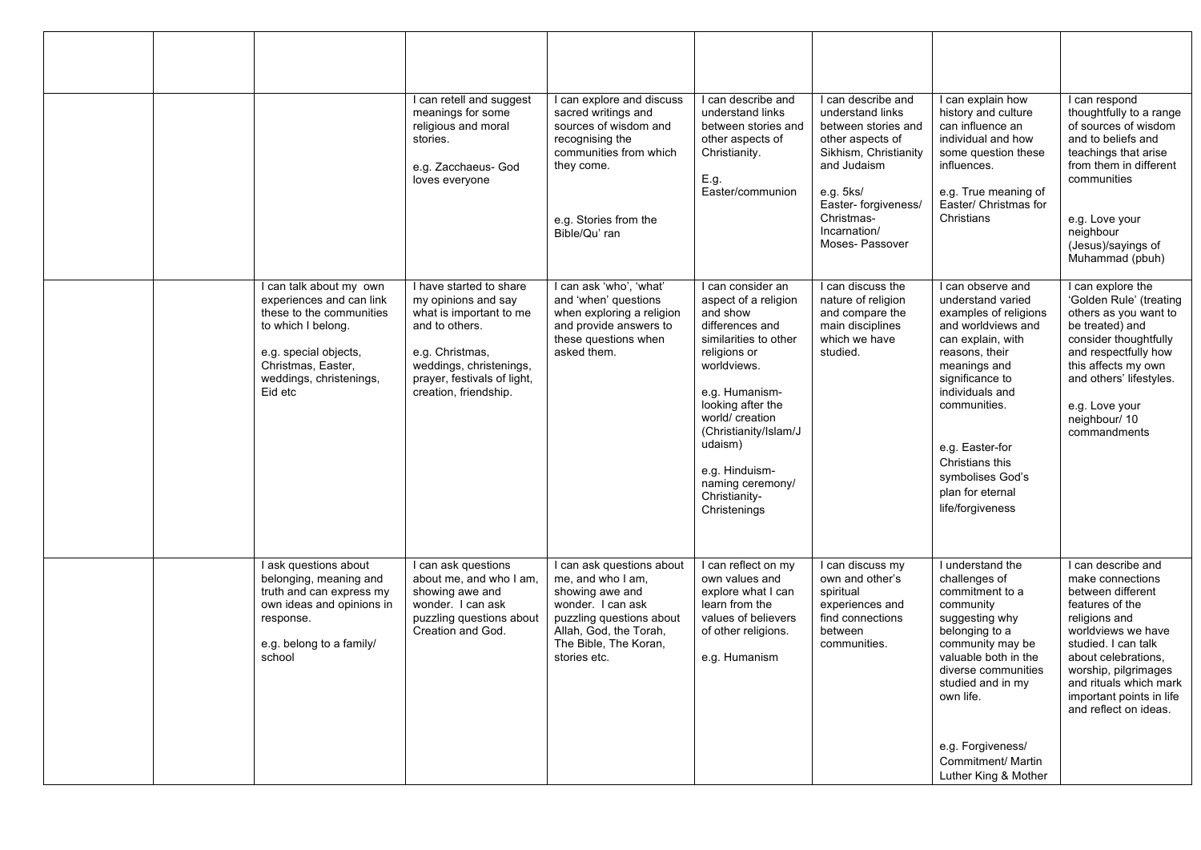|  |                                                                                                                                                                                            | I can retell and suggest<br>meanings for some<br>religious and moral<br>stories.<br>e.g. Zacchaeus- God<br>loves everyone                                                                         | I can explore and discuss<br>sacred writings and<br>sources of wisdom and<br>recognising the<br>communities from which<br>they come.<br>e.g. Stories from the<br>Bible/Qu'ran         | can describe and<br>understand links<br>between stories and<br>other aspects of<br>Christianity.<br>E.g.<br>Easter/communion                                                                                                                                                                          | I can describe and<br>understand links<br>between stories and<br>other aspects of<br>Sikhism, Christianity<br>and Judaism<br>e.g. 5ks/<br>Easter- forgiveness/<br>Christmas-<br>Incarnation/<br>Moses-Passover | I can explain how<br>history and culture<br>can influence an<br>individual and how<br>some question these<br>influences.<br>e.g. True meaning of<br>Easter/ Christmas for<br>Christians                                                                                                              | I can respond<br>thoughtfully to a range<br>of sources of wisdom<br>and to beliefs and<br>teachings that arise<br>from them in different<br>communities<br>e.g. Love your<br>neighbour<br>(Jesus)/sayings of<br>Muhammad (pbuh)                                            |
|--|--------------------------------------------------------------------------------------------------------------------------------------------------------------------------------------------|---------------------------------------------------------------------------------------------------------------------------------------------------------------------------------------------------|---------------------------------------------------------------------------------------------------------------------------------------------------------------------------------------|-------------------------------------------------------------------------------------------------------------------------------------------------------------------------------------------------------------------------------------------------------------------------------------------------------|----------------------------------------------------------------------------------------------------------------------------------------------------------------------------------------------------------------|------------------------------------------------------------------------------------------------------------------------------------------------------------------------------------------------------------------------------------------------------------------------------------------------------|----------------------------------------------------------------------------------------------------------------------------------------------------------------------------------------------------------------------------------------------------------------------------|
|  | I can talk about my own<br>experiences and can link<br>these to the communities<br>to which I belong.<br>e.g. special objects,<br>Christmas, Easter,<br>weddings, christenings,<br>Eid etc | I have started to share<br>my opinions and say<br>what is important to me<br>and to others.<br>e.g. Christmas,<br>weddings, christenings,<br>prayer, festivals of light,<br>creation, friendship. | I can ask 'who', 'what'<br>and 'when' questions<br>when exploring a religion<br>and provide answers to<br>these questions when<br>asked them.                                         | I can consider an<br>aspect of a religion<br>and show<br>differences and<br>similarities to other<br>religions or<br>worldviews.<br>e.g. Humanism-<br>looking after the<br>world/ creation<br>(Christianity/Islam/J<br>udaism)<br>e.g. Hinduism-<br>naming ceremony/<br>Christianity-<br>Christenings | I can discuss the<br>nature of religion<br>and compare the<br>main disciplines<br>which we have<br>studied.                                                                                                    | I can observe and<br>understand varied<br>examples of religions<br>and worldviews and<br>can explain, with<br>reasons, their<br>meanings and<br>significance to<br>individuals and<br>communities.<br>e.g. Easter-for<br>Christians this<br>symbolises God's<br>plan for eternal<br>life/forgiveness | I can explore the<br>'Golden Rule' (treating<br>others as you want to<br>be treated) and<br>consider thoughtfully<br>and respectfully how<br>this affects my own<br>and others' lifestyles.<br>e.g. Love your<br>neighbour/10<br>commandments                              |
|  | I ask questions about<br>belonging, meaning and<br>truth and can express my<br>own ideas and opinions in<br>response.<br>e.g. belong to a family/<br>school                                | I can ask questions<br>about me, and who I am,<br>showing awe and<br>wonder. I can ask<br>puzzling questions about<br>Creation and God.                                                           | I can ask questions about<br>me, and who I am,<br>showing awe and<br>wonder. I can ask<br>puzzling questions about<br>Allah, God, the Torah,<br>The Bible, The Koran,<br>stories etc. | I can reflect on my<br>own values and<br>explore what I can<br>learn from the<br>values of believers<br>of other religions.<br>e.g. Humanism                                                                                                                                                          | I can discuss my<br>own and other's<br>spiritual<br>experiences and<br>find connections<br>between<br>communities.                                                                                             | I understand the<br>challenges of<br>commitment to a<br>community<br>suggesting why<br>belonging to a<br>community may be<br>valuable both in the<br>diverse communities<br>studied and in my<br>own life.<br>e.g. Forgiveness/<br>Commitment/ Martin<br>Luther King & Mother                        | I can describe and<br>make connections<br>between different<br>features of the<br>religions and<br>worldviews we have<br>studied. I can talk<br>about celebrations.<br>worship, pilgrimages<br>and rituals which mark<br>important points in life<br>and reflect on ideas. |